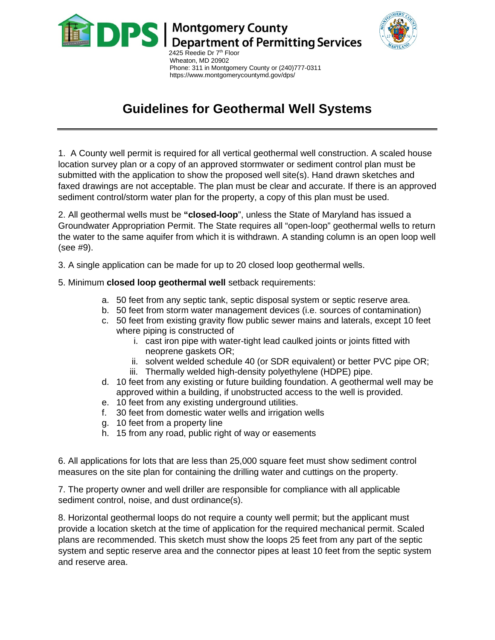

 Wheaton, MD 20902 Phone: 311 in Montgomery County or (240)777-0311 https://www.montgomerycountymd.gov/dps/

## **Guidelines for Geothermal Well Systems**

1. A County well permit is required for all vertical geothermal well construction. A scaled house location survey plan or a copy of an approved stormwater or sediment control plan must be submitted with the application to show the proposed well site(s). Hand drawn sketches and faxed drawings are not acceptable. The plan must be clear and accurate. If there is an approved sediment control/storm water plan for the property, a copy of this plan must be used.

2. All geothermal wells must be **"closed-loop**", unless the State of Maryland has issued a Groundwater Appropriation Permit. The State requires all "open-loop" geothermal wells to return the water to the same aquifer from which it is withdrawn. A standing column is an open loop well (see #9).

3. A single application can be made for up to 20 closed loop geothermal wells.

5. Minimum **closed loop geothermal well** setback requirements:

- a. 50 feet from any septic tank, septic disposal system or septic reserve area.
- b. 50 feet from storm water management devices (i.e. sources of contamination)
- c. 50 feet from existing gravity flow public sewer mains and laterals, except 10 feet where piping is constructed of
	- i. cast iron pipe with water-tight lead caulked joints or joints fitted with neoprene gaskets OR;
	- ii. solvent welded schedule 40 (or SDR equivalent) or better PVC pipe OR;
	- iii. Thermally welded high-density polyethylene (HDPE) pipe.
- d. 10 feet from any existing or future building foundation. A geothermal well may be approved within a building, if unobstructed access to the well is provided.
- e. 10 feet from any existing underground utilities.
- f. 30 feet from domestic water wells and irrigation wells
- g. 10 feet from a property line
- h. 15 from any road, public right of way or easements

6. All applications for lots that are less than 25,000 square feet must show sediment control measures on the site plan for containing the drilling water and cuttings on the property.

7. The property owner and well driller are responsible for compliance with all applicable sediment control, noise, and dust ordinance(s).

8. Horizontal geothermal loops do not require a county well permit; but the applicant must provide a location sketch at the time of application for the required mechanical permit. Scaled plans are recommended. This sketch must show the loops 25 feet from any part of the septic system and septic reserve area and the connector pipes at least 10 feet from the septic system and reserve area.